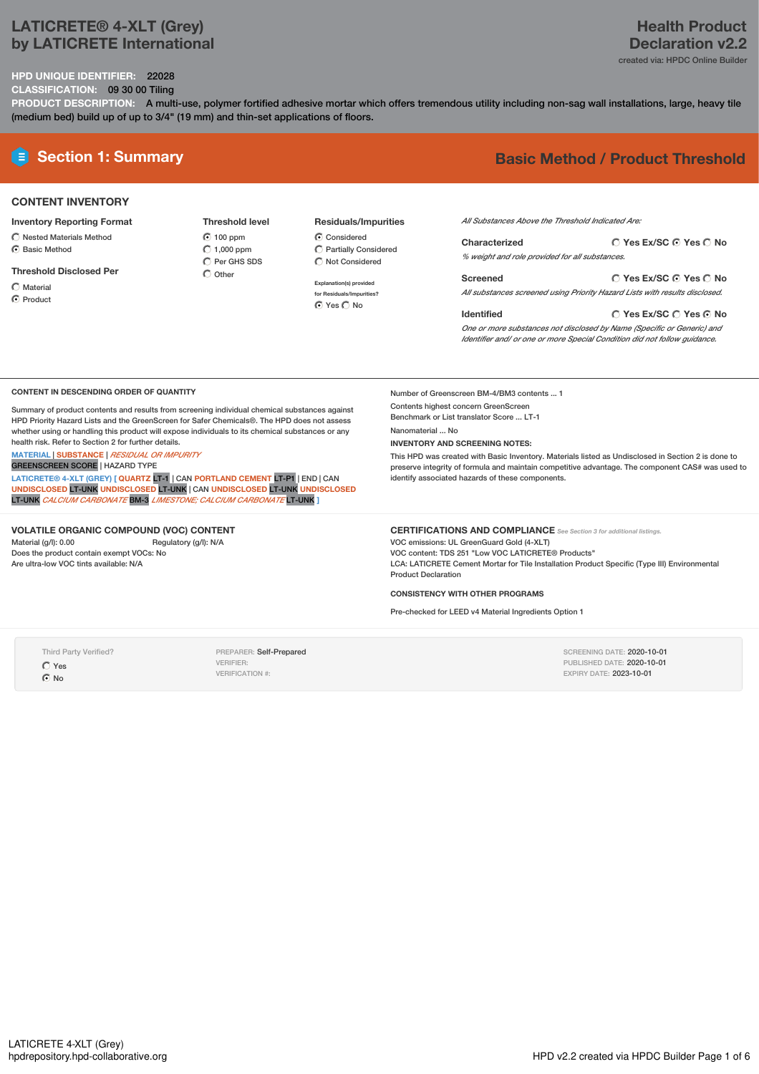# **LATICRETE® 4-XLT (Grey) by LATICRETE International**

# **Health Product Declaration v2.2** created via: HPDC Online Builder

**Yes Ex/SC Yes No**

**HPD UNIQUE IDENTIFIER:** 22028

**CLASSIFICATION:** 09 30 00 Tiling

**PRODUCT DESCRIPTION:** A multi-use, polymer fortified adhesive mortar which offers tremendous utility including non-sag wall installations, large, heavy tile (medium bed) build up of up to 3/4" (19 mm) and thin-set applications of floors.

# **E** Section 1: Summary **Basic** Method / Product Threshold

# **CONTENT INVENTORY**

### **Inventory Reporting Format**

- $\bigcirc$  Nested Materials Method C Basic Method
- 

### **Threshold Disclosed Per**

- Material
- **C** Product

### **Threshold level 6** 100 ppm  $\bigcirc$  1,000 ppm  $\overline{O}$  Per GHS SDS  $\bigcap$  Other

# **Residuals/Impurities**

C Considered Partially Considered  $\bigcirc$  Not Considered

**Explanation(s) provided for Residuals/Impurities?** O Yes O No

# *All Substances Above the Threshold Indicated Are:*

**Yes Ex/SC Yes No Characterized** *% weight and role provided for all substances.*

**Yes Ex/SC Yes No Screened** *All substances screened using Priority Hazard Lists with results disclosed.*

### **Identified**

Number of Greenscreen BM-4/BM3 contents ... 1 Contents highest concern GreenScreen Benchmark or List translator Score ... LT-1

identify associated hazards of these components.

**INVENTORY AND SCREENING NOTES:**

Nanomaterial ... No

*One or more substances not disclosed by Name (Specific or Generic) and Identifier and/ or one or more Special Condition did not follow guidance.*

### **CONTENT IN DESCENDING ORDER OF QUANTITY**

Summary of product contents and results from screening individual chemical substances against HPD Priority Hazard Lists and the GreenScreen for Safer Chemicals®. The HPD does not assess whether using or handling this product will expose individuals to its chemical substances or any health risk. Refer to Section 2 for further details.

# **MATERIAL** | **SUBSTANCE** | *RESIDUAL OR IMPURITY*

GREENSCREEN SCORE | HAZARD TYPE

**LATICRETE® 4-XLT (GREY) [ QUARTZ** LT-1 | CAN **PORTLAND CEMENT** LT-P1 | END |CAN **UNDISCLOSED** LT-UNK **UNDISCLOSED** LT-UNK | CAN **UNDISCLOSED** LT-UNK **UNDISCLOSED** LT-UNK *CALCIUM CARBONATE* BM-3 *LIMESTONE; CALCIUM CARBONATE* LT-UNK **]**

# **VOLATILE ORGANIC COMPOUND (VOC) CONTENT**

Material (g/l): 0.00 Regulatory (g/l): N/A Does the product contain exempt VOCs: No Are ultra-low VOC tints available: N/A

#### **CERTIFICATIONS AND COMPLIANCE** *See Section <sup>3</sup> for additional listings.*

VOC emissions: UL GreenGuard Gold (4-XLT) VOC content: TDS 251 "Low VOC LATICRETE® Products" LCA: LATICRETE Cement Mortar for Tile Installation Product Specific (Type III) Environmental Product Declaration

This HPD was created with Basic Inventory. Materials listed as Undisclosed in Section 2 is done to preserve integrity of formula and maintain competitive advantage. The component CAS# was used to

### **CONSISTENCY WITH OTHER PROGRAMS**

Pre-checked for LEED v4 Material Ingredients Option 1

Third Party Verified? Yes  $\odot$  No

PREPARER: Self-Prepared VERIFIER: VERIFICATION #:

SCREENING DATE: 2020-10-01 PUBLISHED DATE: 2020-10-01 EXPIRY DATE: 2023-10-01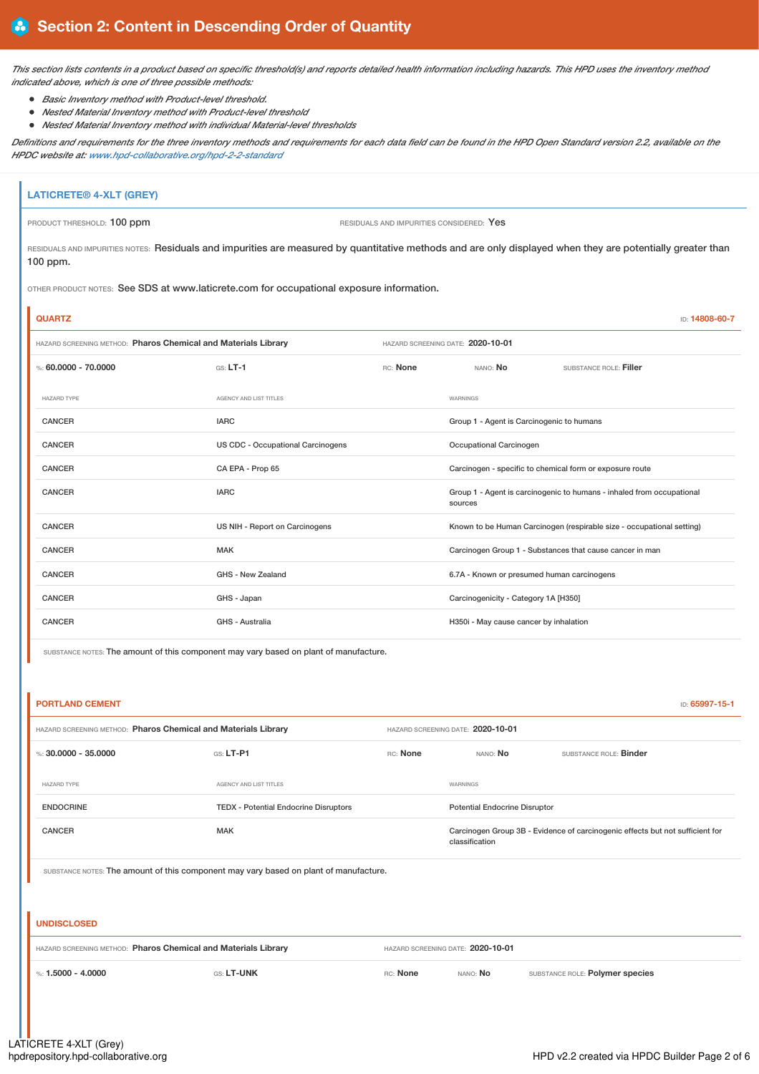This section lists contents in a product based on specific threshold(s) and reports detailed health information including hazards. This HPD uses the inventory method *indicated above, which is one of three possible methods:*

- *Basic Inventory method with Product-level threshold.*
- *Nested Material Inventory method with Product-level threshold*
- *Nested Material Inventory method with individual Material-level thresholds*

Definitions and requirements for the three inventory methods and requirements for each data field can be found in the HPD Open Standard version 2.2, available on the *HPDC website at: [www.hpd-collaborative.org/hpd-2-2-standard](https://www.hpd-collaborative.org/hpd-2-2-standard)*

# **LATICRETE® 4-XLT (GREY)** PRODUCT THRESHOLD: 100 ppm **RESIDUALS** AND IMPURITIES CONSIDERED: Yes

l.

RESIDUALS AND IMPURITIES NOTES: Residuals and impurities are measured by quantitative methods and are only displayed when they are potentially greater than 100 ppm.

OTHER PRODUCT NOTES: See SDS at www.laticrete.com for occupational exposure information.

| <b>QUARTZ</b>                                                  |                                          |                                   |                                                                                  | ID: 14808-60-7         |  |
|----------------------------------------------------------------|------------------------------------------|-----------------------------------|----------------------------------------------------------------------------------|------------------------|--|
| HAZARD SCREENING METHOD: Pharos Chemical and Materials Library |                                          | HAZARD SCREENING DATE: 2020-10-01 |                                                                                  |                        |  |
| %: 60,0000 - 70,0000                                           | $GS: LT-1$                               | RC: None                          | NANO: No                                                                         | SUBSTANCE ROLE: Filler |  |
| <b>HAZARD TYPE</b>                                             | AGENCY AND LIST TITLES                   |                                   | WARNINGS                                                                         |                        |  |
| <b>CANCER</b>                                                  | <b>IARC</b>                              |                                   | Group 1 - Agent is Carcinogenic to humans                                        |                        |  |
| <b>CANCER</b>                                                  | <b>US CDC - Occupational Carcinogens</b> |                                   | Occupational Carcinogen                                                          |                        |  |
| <b>CANCER</b>                                                  | CA EPA - Prop 65                         |                                   | Carcinogen - specific to chemical form or exposure route                         |                        |  |
| <b>CANCER</b>                                                  | <b>IARC</b>                              |                                   | Group 1 - Agent is carcinogenic to humans - inhaled from occupational<br>sources |                        |  |
| <b>CANCER</b>                                                  | US NIH - Report on Carcinogens           |                                   | Known to be Human Carcinogen (respirable size - occupational setting)            |                        |  |
| <b>CANCER</b>                                                  | <b>MAK</b>                               |                                   | Carcinogen Group 1 - Substances that cause cancer in man                         |                        |  |
| <b>CANCER</b>                                                  | GHS - New Zealand                        |                                   | 6.7A - Known or presumed human carcinogens                                       |                        |  |
| <b>CANCER</b>                                                  | GHS - Japan                              |                                   | Carcinogenicity - Category 1A [H350]                                             |                        |  |
| <b>CANCER</b>                                                  | GHS - Australia                          |                                   | H350i - May cause cancer by inhalation                                           |                        |  |

SUBSTANCE NOTES: The amount of this component may vary based on plant of manufacture.

| <b>PORTLAND CEMENT</b><br>ID: 65997-15-1                                              |                                              |                                   |                                      |                                                                               |  |
|---------------------------------------------------------------------------------------|----------------------------------------------|-----------------------------------|--------------------------------------|-------------------------------------------------------------------------------|--|
| HAZARD SCREENING METHOD: Pharos Chemical and Materials Library                        |                                              | HAZARD SCREENING DATE: 2020-10-01 |                                      |                                                                               |  |
| %: 30,0000 - 35,0000                                                                  | GS: LT-P1                                    | RC: None                          | NANO: No                             | SUBSTANCE ROLE: Binder                                                        |  |
| <b>HAZARD TYPE</b>                                                                    | AGENCY AND LIST TITLES                       |                                   | WARNINGS                             |                                                                               |  |
| <b>ENDOCRINE</b>                                                                      | <b>TEDX</b> - Potential Endocrine Disruptors |                                   | <b>Potential Endocrine Disruptor</b> |                                                                               |  |
| <b>CANCER</b>                                                                         | <b>MAK</b>                                   |                                   | classification                       | Carcinogen Group 3B - Evidence of carcinogenic effects but not sufficient for |  |
| SUBSTANCE NOTES: The amount of this component may vary based on plant of manufacture. |                                              |                                   |                                      |                                                                               |  |
|                                                                                       |                                              |                                   |                                      |                                                                               |  |
| <b>UNDISCLOSED</b>                                                                    |                                              |                                   |                                      |                                                                               |  |
| HAZARD SCREENING METHOD: Pharos Chemical and Materials Library                        |                                              |                                   | HAZARD SCREENING DATE: 2020-10-01    |                                                                               |  |
| %: $1.5000 - 4.0000$                                                                  | GS: LT-UNK                                   | RC: None                          | NANO: No                             | SUBSTANCE ROLE: Polymer species                                               |  |
|                                                                                       |                                              |                                   |                                      |                                                                               |  |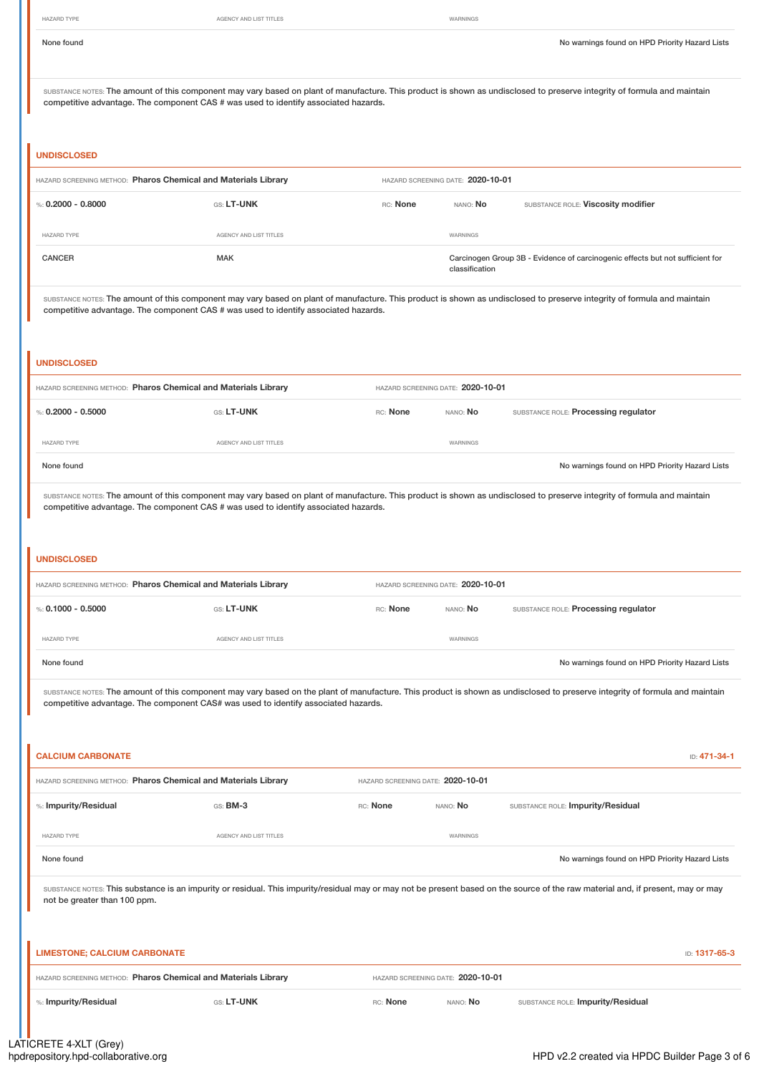AGENCY AND LIST TITLES WARNINGS

None found Nowarnings found on HPD Priority Hazard Lists

| None found |  |
|------------|--|
|            |  |

SUBSTANCE NOTES: The amount of this component may vary based on plant of manufacture. This product is shown as undisclosed to preserve integrity of formula and maintain competitive advantage. The component CAS # was used to identify associated hazards.

## **UNDISCLOSED**

| HAZARD SCREENING METHOD: Pharos Chemical and Materials Library |                        | HAZARD SCREENING DATE: 2020-10-01 |                                                                                                 |                                    |
|----------------------------------------------------------------|------------------------|-----------------------------------|-------------------------------------------------------------------------------------------------|------------------------------------|
| %: $0.2000 - 0.8000$                                           | GS: LT-UNK             | RC: None                          | NANO: <b>No</b>                                                                                 | SUBSTANCE ROLE: Viscosity modifier |
| <b>HAZARD TYPE</b>                                             | AGENCY AND LIST TITLES |                                   | WARNINGS                                                                                        |                                    |
| <b>CANCER</b>                                                  | <b>MAK</b>             |                                   | Carcinogen Group 3B - Evidence of carcinogenic effects but not sufficient for<br>classification |                                    |

SUBSTANCE NOTES: The amount of this component may vary based on plant of manufacture. This product is shown as undisclosed to preserve integrity of formula and maintain competitive advantage. The component CAS # was used to identify associated hazards.

# **UNDISCLOSED** HAZARD SCREENING METHOD: **Pharos Chemical and Materials Library** HAZARD SCREENING DATE: **2020-10-01** %: **0.2000 - 0.5000 CONSTANTIAL GOST AND RESOLUTE A REPORT AND A RESOLUTE A REPORT AND SUBSTANCE ROLE: <b>Processing regulator** HAZARD TYPE **AGENCY AND LIST TITLES AGENCY AND LIST TITLES** None found on HPD Priority Hazard Lists

SUBSTANCE NOTES: The amount of this component may vary based on plant of manufacture. This product is shown as undisclosed to preserve integrity of formula and maintain competitive advantage. The component CAS # was used to identify associated hazards.

### **UNDISCLOSED**

| HAZARD SCREENING METHOD: Pharos Chemical and Materials Library |                        | HAZARD SCREENING DATE: 2020-10-01 |                 |                                                |
|----------------------------------------------------------------|------------------------|-----------------------------------|-----------------|------------------------------------------------|
| %: 0.1000 - 0.5000                                             | GS: LT-UNK             | RC: None                          | nano: <b>No</b> | SUBSTANCE ROLE: Processing regulator           |
| <b>HAZARD TYPE</b>                                             | AGENCY AND LIST TITLES |                                   | WARNINGS        |                                                |
| None found                                                     |                        |                                   |                 | No warnings found on HPD Priority Hazard Lists |

SUBSTANCE NOTES: The amount of this component may vary based on the plant of manufacture. This product is shown as undisclosed to preserve integrity of formula and maintain competitive advantage. The component CAS# was used to identify associated hazards.

| <b>CALCIUM CARBONATE</b><br>ID: 471-34-1                                                                                                                                                                         |                        |                                   |          |                                                |  |
|------------------------------------------------------------------------------------------------------------------------------------------------------------------------------------------------------------------|------------------------|-----------------------------------|----------|------------------------------------------------|--|
| HAZARD SCREENING METHOD: Pharos Chemical and Materials Library                                                                                                                                                   |                        | HAZARD SCREENING DATE: 2020-10-01 |          |                                                |  |
| %: Impurity/Residual                                                                                                                                                                                             | GS: BM-3               | RC: None                          | NANO: No | SUBSTANCE ROLE: Impurity/Residual              |  |
| HAZARD TYPE                                                                                                                                                                                                      | AGENCY AND LIST TITLES |                                   | WARNINGS |                                                |  |
| None found                                                                                                                                                                                                       |                        |                                   |          | No warnings found on HPD Priority Hazard Lists |  |
| SUBSTANCE NOTES: This substance is an impurity or residual. This impurity/residual may or may not be present based on the source of the raw material and, if present, may or may<br>not be greater than 100 ppm. |                        |                                   |          |                                                |  |
| <b>LIMESTONE; CALCIUM CARBONATE</b><br>ID: 1317-65-3                                                                                                                                                             |                        |                                   |          |                                                |  |
| HAZARD SCREENING METHOD: Pharos Chemical and Materials Library                                                                                                                                                   |                        | HAZARD SCREENING DATE: 2020-10-01 |          |                                                |  |
| %: Impurity/Residual                                                                                                                                                                                             | GS: LT-UNK             | RC: None                          | NANO: No | SUBSTANCE ROLE: Impurity/Residual              |  |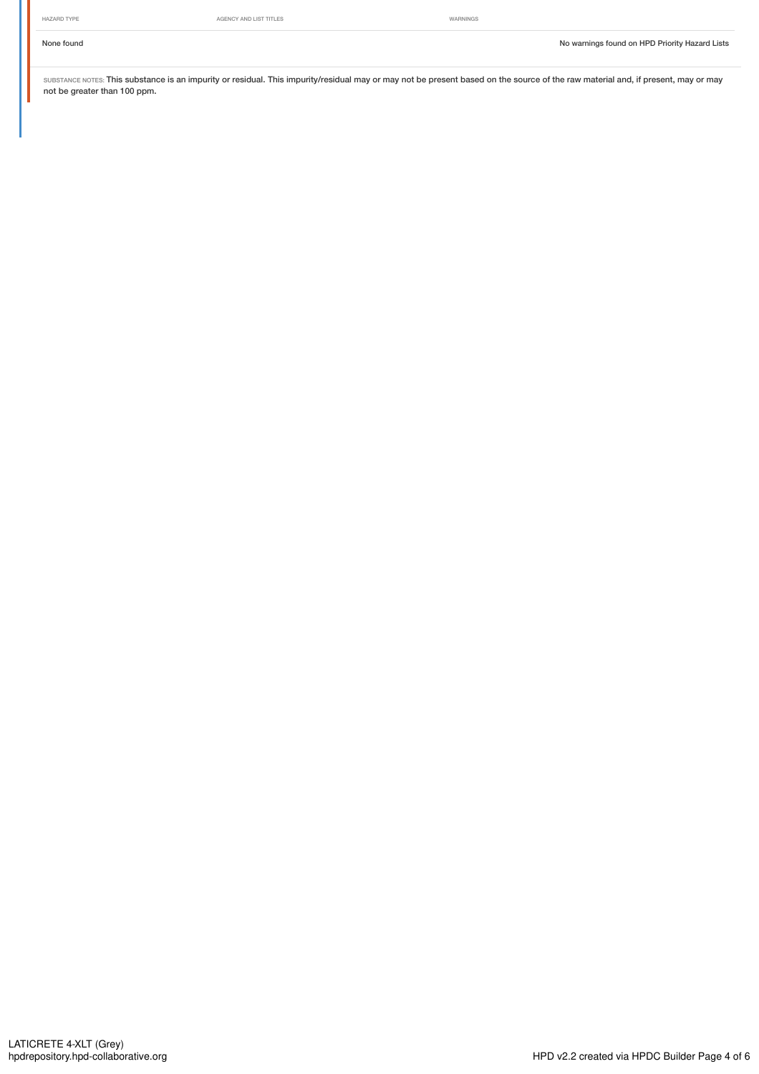SUBSTANCE NOTES: This substance is an impurity or residual. This impurity/residual may or may not be present based on the source of the raw material and, if present, may or may not be greater than 100 ppm.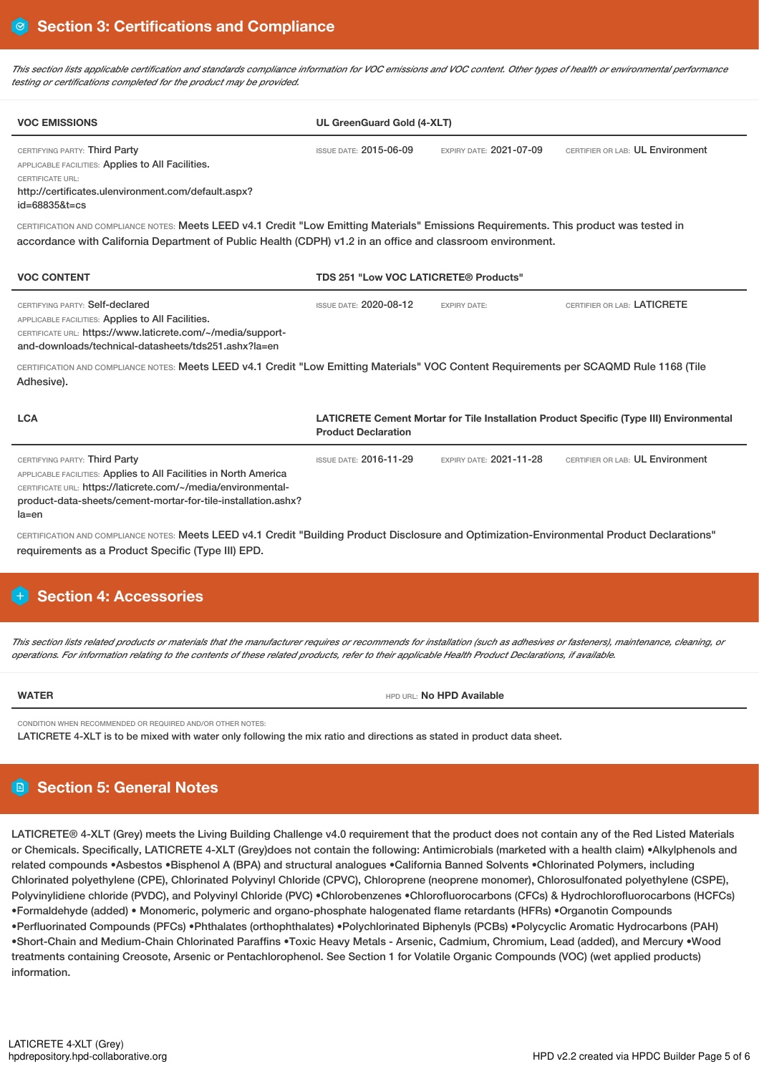This section lists applicable certification and standards compliance information for VOC emissions and VOC content. Other types of health or environmental performance *testing or certifications completed for the product may be provided.*

| <b>VOC EMISSIONS</b>                                                                                                                                                                                                                                                                                                                                                                                                                                    | UL GreenGuard Gold (4-XLT)            |                                |                                                                                         |
|---------------------------------------------------------------------------------------------------------------------------------------------------------------------------------------------------------------------------------------------------------------------------------------------------------------------------------------------------------------------------------------------------------------------------------------------------------|---------------------------------------|--------------------------------|-----------------------------------------------------------------------------------------|
| CERTIFYING PARTY: Third Party<br>APPLICABLE FACILITIES: Applies to All Facilities.<br>CERTIFICATE URL:<br>http://certificates.ulenvironment.com/default.aspx?<br>$id = 688358t = cs$                                                                                                                                                                                                                                                                    | <b>ISSUE DATE: 2015-06-09</b>         | EXPIRY DATE: 2021-07-09        | CERTIFIER OR LAB: UL Environment                                                        |
| CERTIFICATION AND COMPLIANCE NOTES: Meets LEED v4.1 Credit "Low Emitting Materials" Emissions Requirements. This product was tested in<br>accordance with California Department of Public Health (CDPH) v1.2 in an office and classroom environment.                                                                                                                                                                                                    |                                       |                                |                                                                                         |
| <b>VOC CONTENT</b>                                                                                                                                                                                                                                                                                                                                                                                                                                      | TDS 251 "Low VOC LATICRETE® Products" |                                |                                                                                         |
| CERTIFYING PARTY: Self-declared<br>APPLICABLE FACILITIES: Applies to All Facilities.<br>CERTIFICATE URL: https://www.laticrete.com/~/media/support-<br>and-downloads/technical-datasheets/tds251.ashx?la=en                                                                                                                                                                                                                                             | <b>ISSUE DATE: 2020-08-12</b>         | <b>EXPIRY DATE:</b>            | CERTIFIER OR LAB: LATICRETE                                                             |
| CERTIFICATION AND COMPLIANCE NOTES: Meets LEED v4.1 Credit "Low Emitting Materials" VOC Content Requirements per SCAQMD Rule 1168 (Tile<br>Adhesive).                                                                                                                                                                                                                                                                                                   |                                       |                                |                                                                                         |
| <b>LCA</b>                                                                                                                                                                                                                                                                                                                                                                                                                                              | <b>Product Declaration</b>            |                                | LATICRETE Cement Mortar for Tile Installation Product Specific (Type III) Environmental |
| CERTIFYING PARTY: Third Party<br>APPLICABLE FACILITIES: Applies to All Facilities in North America<br>CERTIFICATE URL: https://laticrete.com/~/media/environmental-<br>product-data-sheets/cement-mortar-for-tile-installation.ashx?<br>$la = en$<br>CERTIFICATION AND COMPLIANCE NOTES: Meets LEED v4.1 Credit "Building Product Disclosure and Optimization-Environmental Product Declarations"<br>requirements as a Product Specific (Type III) EPD. | <b>ISSUE DATE: 2016-11-29</b>         | <b>EXPIRY DATE: 2021-11-28</b> | CERTIFIER OR LAB: UL Environment                                                        |
| + Section 4: Accessories                                                                                                                                                                                                                                                                                                                                                                                                                                |                                       |                                |                                                                                         |
| This section lists related products or materials that the manufacturer requires or recommends for installation (such as adhesives or fasteners), maintenance, cleaning, or<br>operations. For information relating to the contents of these related products, refer to their applicable Health Product Declarations, if available.                                                                                                                      |                                       |                                |                                                                                         |
| <b>WATER</b>                                                                                                                                                                                                                                                                                                                                                                                                                                            |                                       | HPD URL: No HPD Available      |                                                                                         |
| CONDITION WHEN RECOMMENDED OR REQUIRED AND/OR OTHER NOTES:<br>LATICRETE 4-XLT is to be mixed with water only following the mix ratio and directions as stated in product data sheet.                                                                                                                                                                                                                                                                    |                                       |                                |                                                                                         |
| <b>B</b> Section 5: General Notes                                                                                                                                                                                                                                                                                                                                                                                                                       |                                       |                                |                                                                                         |
| LATICRETE® 4-XLT (Grey) meets the Living Building Challenge v4.0 requirement that the product does not contain any of the Red Listed Materials<br>or Chemicals. Specifically, LATICRETE 4-XLT (Grey)does not contain the following: Antimicrobials (marketed with a health claim) •Alkylphenols and<br>related compounds •Asbestos •Bisphenol A (BPA) and structural analogues •California Banned Solvents •Chlorinated Polymers, including             |                                       |                                |                                                                                         |

Chlorinated polyethylene (CPE), Chlorinated Polyvinyl Chloride (CPVC), Chloroprene (neoprene monomer), Chlorosulfonated polyethylene (CSPE), Polyvinylidiene chloride (PVDC), and Polyvinyl Chloride (PVC) •Chlorobenzenes •Chlorofluorocarbons (CFCs) & Hydrochlorofluorocarbons (HCFCs) •Formaldehyde (added) • Monomeric, polymeric and organo-phosphate halogenated flame retardants (HFRs) •Organotin Compounds •Perfluorinated Compounds (PFCs) •Phthalates (orthophthalates) •Polychlorinated Biphenyls (PCBs) •Polycyclic Aromatic Hydrocarbons (PAH) •Short-Chain and Medium-Chain Chlorinated Paraffins •Toxic Heavy Metals - Arsenic, Cadmium, Chromium, Lead (added), and Mercury •Wood treatments containing Creosote, Arsenic or Pentachlorophenol. See Section 1 for Volatile Organic Compounds (VOC) (wet applied products) information.